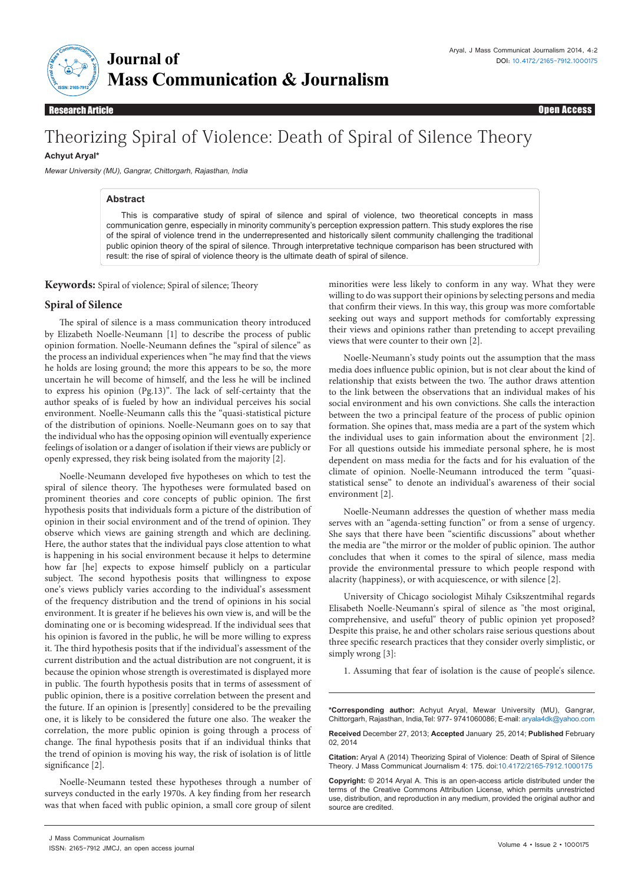

**r uoJ**

Open Access Open Access

# Theorizing Spiral of Violence: Death of Spiral of Silence Theory

# **Achyut Aryal\***

Mewar University (MU), Gangrar, Chittorgarh, Rajasthan, India

#### **Abstract**

This is comparative study of spiral of silence and spiral of violence, two theoretical concepts in mass communication genre, especially in minority community's perception expression pattern. This study explores the rise of the spiral of violence trend in the underrepresented and historically silent community challenging the traditional public opinion theory of the spiral of silence. Through interpretative technique comparison has been structured with result: the rise of spiral of violence theory is the ultimate death of spiral of silence.

#### **Keywords:** Spiral of violence; Spiral of silence; Theory

# **Spiral of Silence**

The spiral of silence is a mass communication theory introduced by Elizabeth Noelle-Neumann [1] to describe the process of public opinion formation. Noelle-Neumann defines the "spiral of silence" as the process an individual experiences when "he may find that the views he holds are losing ground; the more this appears to be so, the more uncertain he will become of himself, and the less he will be inclined to express his opinion (Pg.13)". The lack of self-certainty that the author speaks of is fueled by how an individual perceives his social environment. Noelle-Neumann calls this the "quasi-statistical picture of the distribution of opinions. Noelle-Neumann goes on to say that the individual who has the opposing opinion will eventually experience feelings of isolation or a danger of isolation if their views are publicly or openly expressed, they risk being isolated from the majority [2].

Noelle-Neumann developed five hypotheses on which to test the spiral of silence theory. The hypotheses were formulated based on prominent theories and core concepts of public opinion. The first hypothesis posits that individuals form a picture of the distribution of opinion in their social environment and of the trend of opinion. They observe which views are gaining strength and which are declining. Here, the author states that the individual pays close attention to what is happening in his social environment because it helps to determine how far [he] expects to expose himself publicly on a particular subject. The second hypothesis posits that willingness to expose one's views publicly varies according to the individual's assessment of the frequency distribution and the trend of opinions in his social environment. It is greater if he believes his own view is, and will be the dominating one or is becoming widespread. If the individual sees that his opinion is favored in the public, he will be more willing to express it. The third hypothesis posits that if the individual's assessment of the current distribution and the actual distribution are not congruent, it is because the opinion whose strength is overestimated is displayed more in public. The fourth hypothesis posits that in terms of assessment of public opinion, there is a positive correlation between the present and the future. If an opinion is [presently] considered to be the prevailing one, it is likely to be considered the future one also. The weaker the correlation, the more public opinion is going through a process of change. The final hypothesis posits that if an individual thinks that the trend of opinion is moving his way, the risk of isolation is of little significance [2].

Noelle-Neumann tested these hypotheses through a number of surveys conducted in the early 1970s. A key finding from her research was that when faced with public opinion, a small core group of silent minorities were less likely to conform in any way. What they were willing to do was support their opinions by selecting persons and media that confirm their views. In this way, this group was more comfortable seeking out ways and support methods for comfortably expressing their views and opinions rather than pretending to accept prevailing views that were counter to their own [2].

Noelle-Neumann's study points out the assumption that the mass media does influence public opinion, but is not clear about the kind of relationship that exists between the two. The author draws attention to the link between the observations that an individual makes of his social environment and his own convictions. She calls the interaction between the two a principal feature of the process of public opinion formation. She opines that, mass media are a part of the system which the individual uses to gain information about the environment [2]. For all questions outside his immediate personal sphere, he is most dependent on mass media for the facts and for his evaluation of the climate of opinion. Noelle-Neumann introduced the term "quasistatistical sense" to denote an individual's awareness of their social environment [2].

Noelle-Neumann addresses the question of whether mass media serves with an "agenda-setting function" or from a sense of urgency. She says that there have been "scientific discussions" about whether the media are "the mirror or the molder of public opinion. The author concludes that when it comes to the spiral of silence, mass media provide the environmental pressure to which people respond with alacrity (happiness), or with acquiescence, or with silence [2].

University of Chicago sociologist Mihaly Csikszentmihal regards Elisabeth Noelle-Neumann's spiral of silence as "the most original, comprehensive, and useful" theory of public opinion yet proposed? Despite this praise, he and other scholars raise serious questions about three specific research practices that they consider overly simplistic, or simply wrong [3]:

1. Assuming that fear of isolation is the cause of people's silence.

**\*Corresponding author:** Achyut Aryal, Mewar University (MU), Gangrar, Chittorgarh, Rajasthan, India,Tel: 977- 9741060086; E-mail: aryala4dk@yahoo.com

**Received** December 27, 2013; **Accepted** January 25, 2014; **Published** February 02, 2014

**Citation:** Aryal A (2014) Theorizing Spiral of Violence: Death of Spiral of Silence Theory. J Mass Communicat Journalism 4: 175. doi:10.4172/2165-7912.1000175

**Copyright:** © 2014 Aryal A. This is an open-access article distributed under the terms of the Creative Commons Attribution License, which permits unrestricted use, distribution, and reproduction in any medium, provided the original author and source are credited.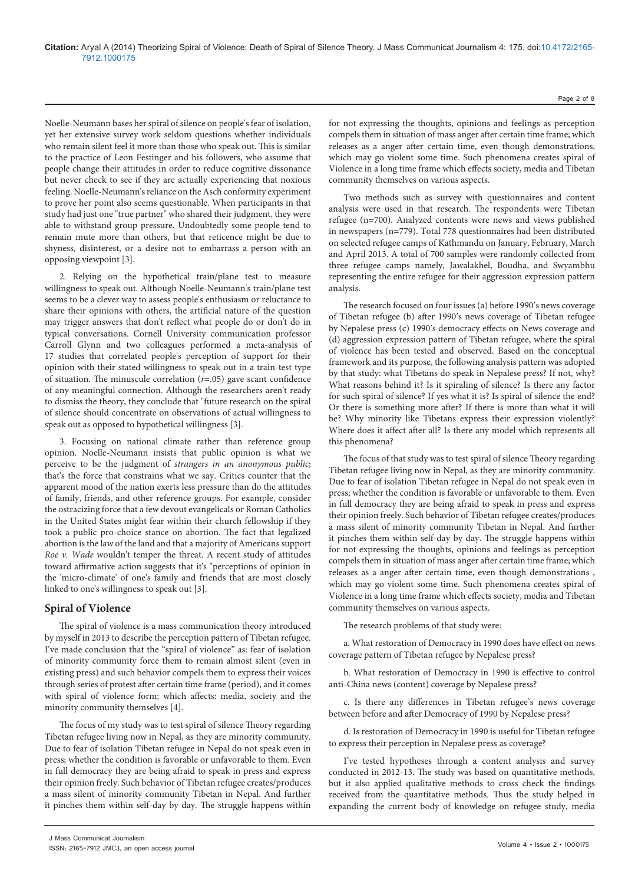Noelle-Neumann bases her spiral of silence on people's fear of isolation, yet her extensive survey work seldom questions whether individuals who remain silent feel it more than those who speak out. This is similar to the practice of Leon Festinger and his followers, who assume that people change their attitudes in order to reduce cognitive dissonance but never check to see if they are actually experiencing that noxious feeling. Noelle-Neumann's reliance on the Asch conformity experiment to prove her point also seems questionable. When participants in that study had just one "true partner" who shared their judgment, they were able to withstand group pressure. Undoubtedly some people tend to remain mute more than others, but that reticence might be due to shyness, disinterest, or a desire not to embarrass a person with an opposing viewpoint [3].

2. Relying on the hypothetical train/plane test to measure willingness to speak out. Although Noelle-Neumann's train/plane test seems to be a clever way to assess people's enthusiasm or reluctance to share their opinions with others, the artificial nature of the question may trigger answers that don't reflect what people do or don't do in typical conversations. Cornell University communication professor Carroll Glynn and two colleagues performed a meta-analysis of 17 studies that correlated people's perception of support for their opinion with their stated willingness to speak out in a train-test type of situation. The minuscule correlation (*r*=.05) gave scant confidence of any meaningful connection. Although the researchers aren't ready to dismiss the theory, they conclude that "future research on the spiral of silence should concentrate on observations of actual willingness to speak out as opposed to hypothetical willingness [3].

3. Focusing on national climate rather than reference group opinion. Noelle-Neumann insists that public opinion is what we perceive to be the judgment of *strangers in an anonymous public*; that's the force that constrains what we say. Critics counter that the apparent mood of the nation exerts less pressure than do the attitudes of family, friends, and other reference groups. For example, consider the ostracizing force that a few devout evangelicals or Roman Catholics in the United States might fear within their church fellowship if they took a public pro-choice stance on abortion. The fact that legalized abortion is the law of the land and that a majority of Americans support *Roe v. Wade* wouldn't temper the threat. A recent study of attitudes toward affirmative action suggests that it's "perceptions of opinion in the 'micro-climate' of one's family and friends that are most closely linked to one's willingness to speak out [3].

# **Spiral of Violence**

The spiral of violence is a mass communication theory introduced by myself in 2013 to describe the perception pattern of Tibetan refugee. I've made conclusion that the "spiral of violence" as: fear of isolation of minority community force them to remain almost silent (even in existing press) and such behavior compels them to express their voices through series of protest after certain time frame (period), and it comes with spiral of violence form; which affects: media, society and the minority community themselves [4].

The focus of my study was to test spiral of silence Theory regarding Tibetan refugee living now in Nepal, as they are minority community. Due to fear of isolation Tibetan refugee in Nepal do not speak even in press; whether the condition is favorable or unfavorable to them. Even in full democracy they are being afraid to speak in press and express their opinion freely. Such behavior of Tibetan refugee creates/produces a mass silent of minority community Tibetan in Nepal. And further it pinches them within self-day by day. The struggle happens within

for not expressing the thoughts, opinions and feelings as perception compels them in situation of mass anger after certain time frame; which releases as a anger after certain time, even though demonstrations, which may go violent some time. Such phenomena creates spiral of Violence in a long time frame which effects society, media and Tibetan community themselves on various aspects.

Two methods such as survey with questionnaires and content analysis were used in that research. The respondents were Tibetan refugee (n=700). Analyzed contents were news and views published in newspapers (n=779). Total 778 questionnaires had been distributed on selected refugee camps of Kathmandu on January, February, March and April 2013. A total of 700 samples were randomly collected from three refugee camps namely, Jawalakhel, Boudha, and Swyambhu representing the entire refugee for their aggression expression pattern analysis.

The research focused on four issues (a) before 1990's news coverage of Tibetan refugee (b) after 1990's news coverage of Tibetan refugee by Nepalese press (c) 1990's democracy effects on News coverage and (d) aggression expression pattern of Tibetan refugee, where the spiral of violence has been tested and observed. Based on the conceptual framework and its purpose, the following analysis pattern was adopted by that study: what Tibetans do speak in Nepalese press? If not, why? What reasons behind it? Is it spiraling of silence? Is there any factor for such spiral of silence? If yes what it is? Is spiral of silence the end? Or there is something more after? If there is more than what it will be? Why minority like Tibetans express their expression violently? Where does it affect after all? Is there any model which represents all this phenomena?

The focus of that study was to test spiral of silence Theory regarding Tibetan refugee living now in Nepal, as they are minority community. Due to fear of isolation Tibetan refugee in Nepal do not speak even in press; whether the condition is favorable or unfavorable to them. Even in full democracy they are being afraid to speak in press and express their opinion freely. Such behavior of Tibetan refugee creates/produces a mass silent of minority community Tibetan in Nepal. And further it pinches them within self-day by day. The struggle happens within for not expressing the thoughts, opinions and feelings as perception compels them in situation of mass anger after certain time frame; which releases as a anger after certain time, even though demonstrations , which may go violent some time. Such phenomena creates spiral of Violence in a long time frame which effects society, media and Tibetan community themselves on various aspects.

The research problems of that study were:

a. What restoration of Democracy in 1990 does have effect on news coverage pattern of Tibetan refugee by Nepalese press?

b. What restoration of Democracy in 1990 is effective to control anti-China news (content) coverage by Nepalese press?

c. Is there any differences in Tibetan refugee's news coverage between before and after Democracy of 1990 by Nepalese press?

d. Is restoration of Democracy in 1990 is useful for Tibetan refugee to express their perception in Nepalese press as coverage?

I've tested hypotheses through a content analysis and survey conducted in 2012-13. The study was based on quantitative methods, but it also applied qualitative methods to cross check the findings received from the quantitative methods. Thus the study helped in expanding the current body of knowledge on refugee study, media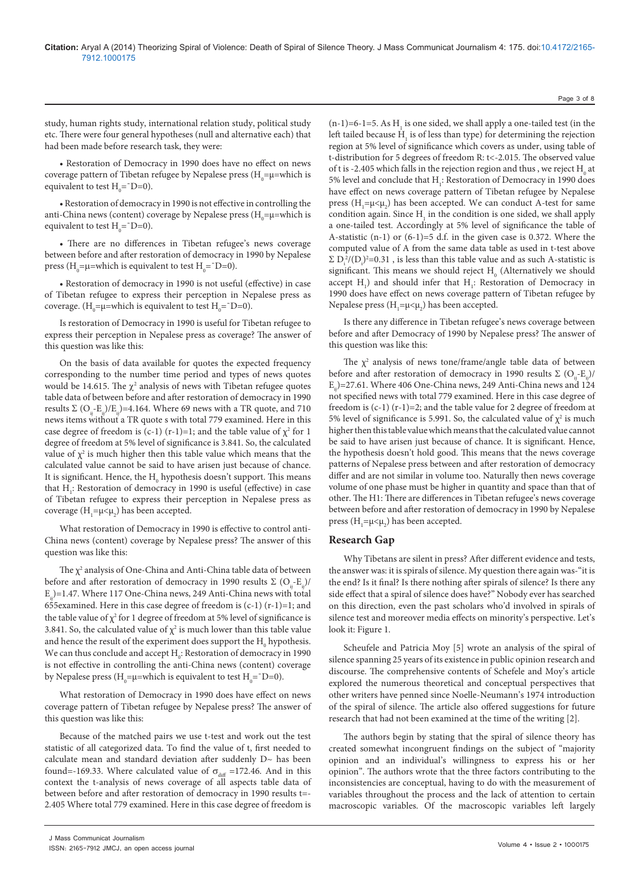study, human rights study, international relation study, political study etc. There were four general hypotheses (null and alternative each) that had been made before research task, they were:

• Restoration of Democracy in 1990 does have no effect on news coverage pattern of Tibetan refugee by Nepalese press (H $_{\rm o}$ = $\mu$ =which is equivalent to test  $H_0 =^- D = 0$ ).

• Restoration of democracy in 1990 is not effective in controlling the anti-China news (content) coverage by Nepalese press (H<sub>0</sub>= $\mu$ =which is equivalent to test  $H_0 =^- D = 0$ ).

• There are no differences in Tibetan refugee's news coverage between before and after restoration of democracy in 1990 by Nepalese press (H<sub>0</sub>= $\mu$ =which is equivalent to test H<sub>0</sub>=<sup>-</sup>D=0).

• Restoration of democracy in 1990 is not useful (effective) in case of Tibetan refugee to express their perception in Nepalese press as coverage. (H<sub>0</sub>=µ=which is equivalent to test H<sub>0</sub>=<sup>-</sup>D=0).

Is restoration of Democracy in 1990 is useful for Tibetan refugee to express their perception in Nepalese press as coverage? The answer of this question was like this:

On the basis of data available for quotes the expected frequency corresponding to the number time period and types of news quotes would be 14.615. The  $\chi^2$  analysis of news with Tibetan refugee quotes table data of between before and after restoration of democracy in 1990 results  $\Sigma$  (O<sub>ij</sub>-E<sub>ii</sub>)/E<sub>ii</sub>)=4.164. Where 69 news with a TR quote, and 710 news items without a TR quote s with total 779 examined. Here in this case degree of freedom is (c-1) (r-1)=1; and the table value of  $\chi^2$  for 1 degree of freedom at 5% level of significance is 3.841. So, the calculated value of  $\chi^2$  is much higher then this table value which means that the calculated value cannot be said to have arisen just because of chance. It is significant. Hence, the  $\mathbf{H}_{_{\boldsymbol{0}}}\mathbf{h}$  hypothesis doesn't support. This means that  $H<sub>1</sub>$ : Restoration of democracy in 1990 is useful (effective) in case of Tibetan refugee to express their perception in Nepalese press as coverage  $(H_1 = \mu < \mu_2)$  has been accepted.

What restoration of Democracy in 1990 is effective to control anti-China news (content) coverage by Nepalese press? The answer of this question was like this:

The  $\chi^2$  analysis of One-China and Anti-China table data of between before and after restoration of democracy in 1990 results  $\Sigma$  (O<sub>ij</sub>-E<sub>ii</sub>)/ E.)=1.47. Where 117 One-China news, 249 Anti-China news with total 655examined. Here in this case degree of freedom is  $(c-1)$   $(r-1)=1$ ; and the table value of  $\chi^2$  for 1 degree of freedom at 5% level of significance is 3.841. So, the calculated value of  $\chi^2$  is much lower than this table value and hence the result of the experiment does support the  $\mathbf{H}_{_{\boldsymbol{0}}}$  hypothesis. We can thus conclude and accept  $H_0$ : Restoration of democracy in 1990 is not effective in controlling the anti-China news (content) coverage by Nepalese press (H<sub>0</sub>=µ=which is equivalent to test H<sub>0</sub>=<sup>-</sup>D=0).

What restoration of Democracy in 1990 does have effect on news coverage pattern of Tibetan refugee by Nepalese press? The answer of this question was like this:

Because of the matched pairs we use t-test and work out the test statistic of all categorized data. To find the value of t, first needed to calculate mean and standard deviation after suddenly  $D<sub>\sim</sub>$  has been found=-169.33. Where calculated value of  $\sigma_{\text{diff}}$  =172.46. And in this context the t-analysis of news coverage of all aspects table data of between before and after restoration of democracy in 1990 results t=- 2.405 Where total 779 examined. Here in this case degree of freedom is

 $(n-1)=6-1=5$ . As H<sub>1</sub> is one sided, we shall apply a one-tailed test (in the left tailed because  $\mathrm{H}_{\mathrm{i}}$  is of less than type) for determining the rejection region at 5% level of significance which covers as under, using table of t-distribution for 5 degrees of freedom R: t<-2.015. The observed value of t is -2.405 which falls in the rejection region and thus , we reject  $\mathrm{H}_{_{0}}$  at 5% level and conclude that  $H_i$ : Restoration of Democracy in 1990 does have effect on news coverage pattern of Tibetan refugee by Nepalese press  $(H_1 = \mu \lt \mu_2)$  has been accepted. We can conduct A-test for same condition again. Since  $H_1$  in the condition is one sided, we shall apply a one-tailed test. Accordingly at 5% level of significance the table of A-statistic (n-1) or (6-1)=5 d.f. in the given case is 0.372. Where the computed value of A from the same data table as used in t-test above  $\sum D_i^2/(D_i)^2 = 0.31$ , is less than this table value and as such A-statistic is significant. This means we should reject  $H_0$  (Alternatively we should accept  $H_1$ ) and should infer that  $H_1$ : Restoration of Democracy in 1990 does have effect on news coverage pattern of Tibetan refugee by Nepalese press  $(H_1 = \mu \lt \mu_2)$  has been accepted.

Is there any difference in Tibetan refugee's news coverage between before and after Democracy of 1990 by Nepalese press? The answer of this question was like this:

The  $\chi^2$  analysis of news tone/frame/angle table data of between before and after restoration of democracy in 1990 results  $\Sigma$  (O<sub>ij</sub>-E<sub>ii</sub>)/  $E_n$ )=27.61. Where 406 One-China news, 249 Anti-China news and 124 not specified news with total 779 examined. Here in this case degree of freedom is (c-1) (r-1)=2; and the table value for 2 degree of freedom at 5% level of significance is 5.991. So, the calculated value of  $χ²$  is much higher then this table value which means that the calculated value cannot be said to have arisen just because of chance. It is significant. Hence, the hypothesis doesn't hold good. This means that the news coverage patterns of Nepalese press between and after restoration of democracy differ and are not similar in volume too. Naturally then news coverage volume of one phase must be higher in quantity and space than that of other. The H1: There are differences in Tibetan refugee's news coverage between before and after restoration of democracy in 1990 by Nepalese press ( $H_1 = \mu < \mu_2$ ) has been accepted.

## **Research Gap**

Why Tibetans are silent in press? After different evidence and tests, the answer was: it is spirals of silence. My question there again was-"it is the end? Is it final? Is there nothing after spirals of silence? Is there any side effect that a spiral of silence does have?" Nobody ever has searched on this direction, even the past scholars who'd involved in spirals of silence test and moreover media effects on minority's perspective. Let's look it: Figure 1.

Scheufele and Patricia Moy [5] wrote an analysis of the spiral of silence spanning 25 years of its existence in public opinion research and discourse. The comprehensive contents of Schefele and Moy's article explored the numerous theoretical and conceptual perspectives that other writers have penned since Noelle-Neumann's 1974 introduction of the spiral of silence. The article also offered suggestions for future research that had not been examined at the time of the writing [2].

The authors begin by stating that the spiral of silence theory has created somewhat incongruent findings on the subject of "majority opinion and an individual's willingness to express his or her opinion". The authors wrote that the three factors contributing to the inconsistencies are conceptual, having to do with the measurement of variables throughout the process and the lack of attention to certain macroscopic variables. Of the macroscopic variables left largely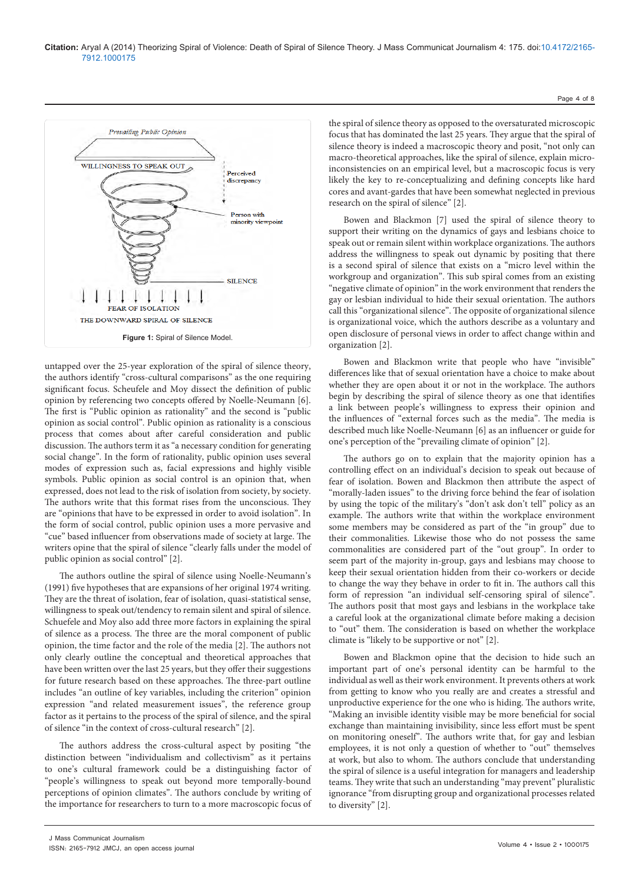

untapped over the 25-year exploration of the spiral of silence theory, the authors identify "cross-cultural comparisons" as the one requiring significant focus. Scheufele and Moy dissect the definition of public opinion by referencing two concepts offered by Noelle-Neumann [6]. The first is "Public opinion as rationality" and the second is "public opinion as social control". Public opinion as rationality is a conscious process that comes about after careful consideration and public discussion. The authors term it as "a necessary condition for generating social change". In the form of rationality, public opinion uses several modes of expression such as, facial expressions and highly visible symbols. Public opinion as social control is an opinion that, when expressed, does not lead to the risk of isolation from society, by society. The authors write that this format rises from the unconscious. They are "opinions that have to be expressed in order to avoid isolation". In the form of social control, public opinion uses a more pervasive and "cue" based influencer from observations made of society at large. The writers opine that the spiral of silence "clearly falls under the model of public opinion as social control" [2].

The authors outline the spiral of silence using Noelle-Neumann's (1991) five hypotheses that are expansions of her original 1974 writing. They are the threat of isolation, fear of isolation, quasi-statistical sense, willingness to speak out/tendency to remain silent and spiral of silence. Schuefele and Moy also add three more factors in explaining the spiral of silence as a process. The three are the moral component of public opinion, the time factor and the role of the media [2]. The authors not only clearly outline the conceptual and theoretical approaches that have been written over the last 25 years, but they offer their suggestions for future research based on these approaches. The three-part outline includes "an outline of key variables, including the criterion" opinion expression "and related measurement issues", the reference group factor as it pertains to the process of the spiral of silence, and the spiral of silence "in the context of cross-cultural research" [2].

The authors address the cross-cultural aspect by positing "the distinction between "individualism and collectivism" as it pertains to one's cultural framework could be a distinguishing factor of "people's willingness to speak out beyond more temporally-bound perceptions of opinion climates". The authors conclude by writing of the importance for researchers to turn to a more macroscopic focus of

the spiral of silence theory as opposed to the oversaturated microscopic focus that has dominated the last 25 years. They argue that the spiral of silence theory is indeed a macroscopic theory and posit, "not only can macro-theoretical approaches, like the spiral of silence, explain microinconsistencies on an empirical level, but a macroscopic focus is very likely the key to re-conceptualizing and defining concepts like hard cores and avant-gardes that have been somewhat neglected in previous research on the spiral of silence" [2].

Bowen and Blackmon [7] used the spiral of silence theory to support their writing on the dynamics of gays and lesbians choice to speak out or remain silent within workplace organizations. The authors address the willingness to speak out dynamic by positing that there is a second spiral of silence that exists on a "micro level within the workgroup and organization". This sub spiral comes from an existing "negative climate of opinion" in the work environment that renders the gay or lesbian individual to hide their sexual orientation. The authors call this "organizational silence". The opposite of organizational silence is organizational voice, which the authors describe as a voluntary and open disclosure of personal views in order to affect change within and organization [2].

Bowen and Blackmon write that people who have "invisible" differences like that of sexual orientation have a choice to make about whether they are open about it or not in the workplace. The authors begin by describing the spiral of silence theory as one that identifies a link between people's willingness to express their opinion and the influences of "external forces such as the media". The media is described much like Noelle-Neumann [6] as an influencer or guide for one's perception of the "prevailing climate of opinion" [2].

The authors go on to explain that the majority opinion has a controlling effect on an individual's decision to speak out because of fear of isolation. Bowen and Blackmon then attribute the aspect of "morally-laden issues" to the driving force behind the fear of isolation by using the topic of the military's "don't ask don't tell" policy as an example. The authors write that within the workplace environment some members may be considered as part of the "in group" due to their commonalities. Likewise those who do not possess the same commonalities are considered part of the "out group". In order to seem part of the majority in-group, gays and lesbians may choose to keep their sexual orientation hidden from their co-workers or decide to change the way they behave in order to fit in. The authors call this form of repression "an individual self-censoring spiral of silence". The authors posit that most gays and lesbians in the workplace take a careful look at the organizational climate before making a decision to "out" them. The consideration is based on whether the workplace climate is "likely to be supportive or not" [2].

Bowen and Blackmon opine that the decision to hide such an important part of one's personal identity can be harmful to the individual as well as their work environment. It prevents others at work from getting to know who you really are and creates a stressful and unproductive experience for the one who is hiding. The authors write, "Making an invisible identity visible may be more beneficial for social exchange than maintaining invisibility, since less effort must be spent on monitoring oneself". The authors write that, for gay and lesbian employees, it is not only a question of whether to "out" themselves at work, but also to whom. The authors conclude that understanding the spiral of silence is a useful integration for managers and leadership teams. They write that such an understanding "may prevent" pluralistic ignorance "from disrupting group and organizational processes related to diversity" [2].

Page 4 of 8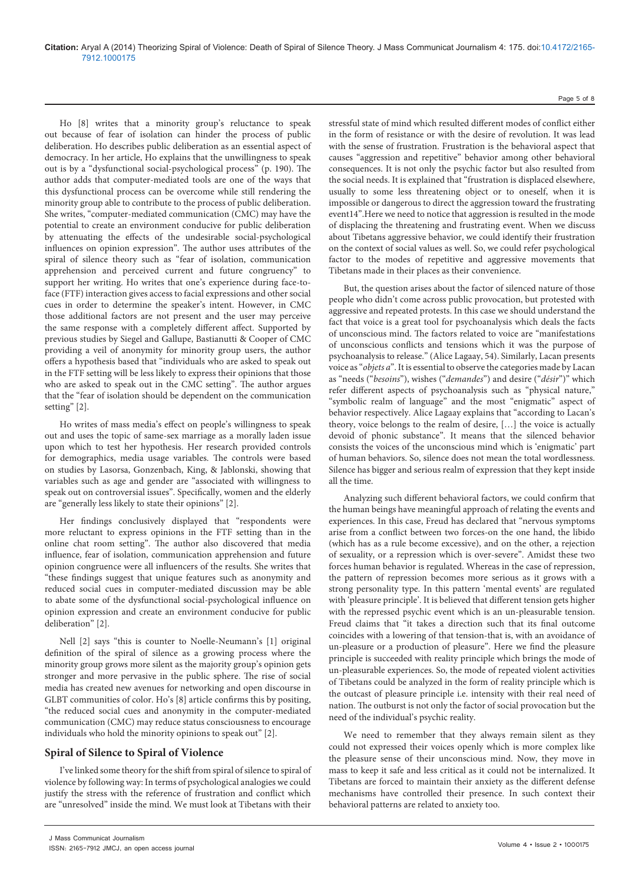Ho [8] writes that a minority group's reluctance to speak out because of fear of isolation can hinder the process of public deliberation. Ho describes public deliberation as an essential aspect of democracy. In her article, Ho explains that the unwillingness to speak out is by a "dysfunctional social-psychological process" (p. 190). The author adds that computer-mediated tools are one of the ways that this dysfunctional process can be overcome while still rendering the minority group able to contribute to the process of public deliberation. She writes, "computer-mediated communication (CMC) may have the potential to create an environment conducive for public deliberation by attenuating the effects of the undesirable social-psychological influences on opinion expression". The author uses attributes of the spiral of silence theory such as "fear of isolation, communication apprehension and perceived current and future congruency" to support her writing. Ho writes that one's experience during face-toface (FTF) interaction gives access to facial expressions and other social cues in order to determine the speaker's intent. However, in CMC those additional factors are not present and the user may perceive the same response with a completely different affect. Supported by previous studies by Siegel and Gallupe, Bastianutti & Cooper of CMC providing a veil of anonymity for minority group users, the author offers a hypothesis based that "individuals who are asked to speak out in the FTF setting will be less likely to express their opinions that those who are asked to speak out in the CMC setting". The author argues that the "fear of isolation should be dependent on the communication setting" [2].

Ho writes of mass media's effect on people's willingness to speak out and uses the topic of same-sex marriage as a morally laden issue upon which to test her hypothesis. Her research provided controls for demographics, media usage variables. The controls were based on studies by Lasorsa, Gonzenbach, King, & Jablonski, showing that variables such as age and gender are "associated with willingness to speak out on controversial issues". Specifically, women and the elderly are "generally less likely to state their opinions" [2].

Her findings conclusively displayed that "respondents were more reluctant to express opinions in the FTF setting than in the online chat room setting". The author also discovered that media influence, fear of isolation, communication apprehension and future opinion congruence were all influencers of the results. She writes that "these findings suggest that unique features such as anonymity and reduced social cues in computer-mediated discussion may be able to abate some of the dysfunctional social-psychological influence on opinion expression and create an environment conducive for public deliberation" [2].

Nell [2] says "this is counter to Noelle-Neumann's [1] original definition of the spiral of silence as a growing process where the minority group grows more silent as the majority group's opinion gets stronger and more pervasive in the public sphere. The rise of social media has created new avenues for networking and open discourse in GLBT communities of color. Ho's [8] article confirms this by positing, "the reduced social cues and anonymity in the computer-mediated communication (CMC) may reduce status consciousness to encourage individuals who hold the minority opinions to speak out" [2].

# **Spiral of Silence to Spiral of Violence**

I've linked some theory for the shift from spiral of silence to spiral of violence by following way: In terms of psychological analogies we could justify the stress with the reference of frustration and conflict which are "unresolved" inside the mind. We must look at Tibetans with their

stressful state of mind which resulted different modes of conflict either in the form of resistance or with the desire of revolution. It was lead with the sense of frustration. Frustration is the behavioral aspect that causes "aggression and repetitive" behavior among other behavioral consequences. It is not only the psychic factor but also resulted from the social needs. It is explained that "frustration is displaced elsewhere, usually to some less threatening object or to oneself, when it is impossible or dangerous to direct the aggression toward the frustrating event14".Here we need to notice that aggression is resulted in the mode of displacing the threatening and frustrating event. When we discuss about Tibetans aggressive behavior, we could identify their frustration on the context of social values as well. So, we could refer psychological factor to the modes of repetitive and aggressive movements that Tibetans made in their places as their convenience.

But, the question arises about the factor of silenced nature of those people who didn't come across public provocation, but protested with aggressive and repeated protests. In this case we should understand the fact that voice is a great tool for psychoanalysis which deals the facts of unconscious mind. The factors related to voice are "manifestations of unconscious conflicts and tensions which it was the purpose of psychoanalysis to release." (Alice Lagaay, 54). Similarly, Lacan presents voice as "*objets a*". It is essential to observe the categories made by Lacan as "needs ("*besoins*"), wishes ("*demandes*") and desire ("*désir*")" which refer different aspects of psychoanalysis such as "physical nature," "symbolic realm of language" and the most "enigmatic" aspect of behavior respectively. Alice Lagaay explains that "according to Lacan's theory, voice belongs to the realm of desire, […] the voice is actually devoid of phonic substance". It means that the silenced behavior consists the voices of the unconscious mind which is 'enigmatic' part of human behaviors. So, silence does not mean the total wordlessness. Silence has bigger and serious realm of expression that they kept inside all the time.

Analyzing such different behavioral factors, we could confirm that the human beings have meaningful approach of relating the events and experiences. In this case, Freud has declared that "nervous symptoms arise from a conflict between two forces-on the one hand, the libido (which has as a rule become excessive), and on the other, a rejection of sexuality, or a repression which is over-severe". Amidst these two forces human behavior is regulated. Whereas in the case of repression, the pattern of repression becomes more serious as it grows with a strong personality type. In this pattern 'mental events' are regulated with 'pleasure principle'. It is believed that different tension gets higher with the repressed psychic event which is an un-pleasurable tension. Freud claims that "it takes a direction such that its final outcome coincides with a lowering of that tension-that is, with an avoidance of un-pleasure or a production of pleasure". Here we find the pleasure principle is succeeded with reality principle which brings the mode of un-pleasurable experiences. So, the mode of repeated violent activities of Tibetans could be analyzed in the form of reality principle which is the outcast of pleasure principle i.e. intensity with their real need of nation. The outburst is not only the factor of social provocation but the need of the individual's psychic reality.

We need to remember that they always remain silent as they could not expressed their voices openly which is more complex like the pleasure sense of their unconscious mind. Now, they move in mass to keep it safe and less critical as it could not be internalized. It Tibetans are forced to maintain their anxiety as the different defense mechanisms have controlled their presence. In such context their behavioral patterns are related to anxiety too.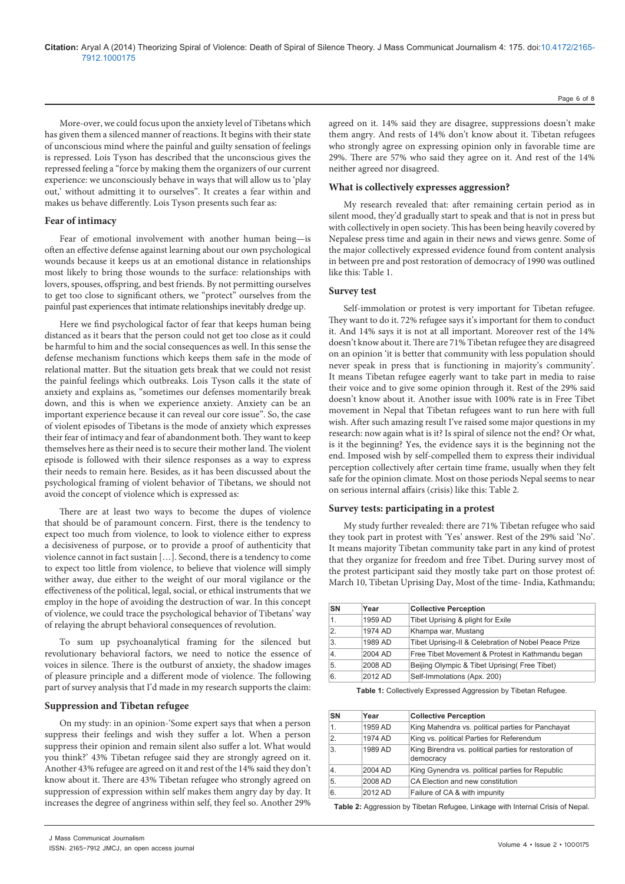More-over, we could focus upon the anxiety level of Tibetans which has given them a silenced manner of reactions. It begins with their state of unconscious mind where the painful and guilty sensation of feelings is repressed. Lois Tyson has described that the unconscious gives the repressed feeling a "force by making them the organizers of our current experience: we unconsciously behave in ways that will allow us to 'play out,' without admitting it to ourselves". It creates a fear within and makes us behave differently. Lois Tyson presents such fear as:

#### **Fear of intimacy**

Fear of emotional involvement with another human being—is often an effective defense against learning about our own psychological wounds because it keeps us at an emotional distance in relationships most likely to bring those wounds to the surface: relationships with lovers, spouses, offspring, and best friends. By not permitting ourselves to get too close to significant others, we "protect" ourselves from the painful past experiences that intimate relationships inevitably dredge up.

Here we find psychological factor of fear that keeps human being distanced as it bears that the person could not get too close as it could be harmful to him and the social consequences as well. In this sense the defense mechanism functions which keeps them safe in the mode of relational matter. But the situation gets break that we could not resist the painful feelings which outbreaks. Lois Tyson calls it the state of anxiety and explains as, "sometimes our defenses momentarily break down, and this is when we experience anxiety. Anxiety can be an important experience because it can reveal our core issue". So, the case of violent episodes of Tibetans is the mode of anxiety which expresses their fear of intimacy and fear of abandonment both. They want to keep themselves here as their need is to secure their mother land. The violent episode is followed with their silence responses as a way to express their needs to remain here. Besides, as it has been discussed about the psychological framing of violent behavior of Tibetans, we should not avoid the concept of violence which is expressed as:

There are at least two ways to become the dupes of violence that should be of paramount concern. First, there is the tendency to expect too much from violence, to look to violence either to express a decisiveness of purpose, or to provide a proof of authenticity that violence cannot in fact sustain […]. Second, there is a tendency to come to expect too little from violence, to believe that violence will simply wither away, due either to the weight of our moral vigilance or the effectiveness of the political, legal, social, or ethical instruments that we employ in the hope of avoiding the destruction of war. In this concept of violence, we could trace the psychological behavior of Tibetans' way of relaying the abrupt behavioral consequences of revolution.

To sum up psychoanalytical framing for the silenced but revolutionary behavioral factors, we need to notice the essence of voices in silence. There is the outburst of anxiety, the shadow images of pleasure principle and a different mode of violence. The following part of survey analysis that I'd made in my research supports the claim:

#### **Suppression and Tibetan refugee**

On my study: in an opinion-'Some expert says that when a person suppress their feelings and wish they suffer a lot. When a person suppress their opinion and remain silent also suffer a lot. What would you think?' 43% Tibetan refugee said they are strongly agreed on it. Another 43% refugee are agreed on it and rest of the 14% said they don't know about it. There are 43% Tibetan refugee who strongly agreed on suppression of expression within self makes them angry day by day. It increases the degree of angriness within self, they feel so. Another 29% Page 6 of 8

agreed on it. 14% said they are disagree, suppressions doesn't make them angry. And rests of 14% don't know about it. Tibetan refugees who strongly agree on expressing opinion only in favorable time are 29%. There are 57% who said they agree on it. And rest of the 14% neither agreed nor disagreed.

#### **What is collectively expresses aggression?**

My research revealed that: after remaining certain period as in silent mood, they'd gradually start to speak and that is not in press but with collectively in open society. This has been being heavily covered by Nepalese press time and again in their news and views genre. Some of the major collectively expressed evidence found from content analysis in between pre and post restoration of democracy of 1990 was outlined like this: Table 1.

## **Survey test**

Self-immolation or protest is very important for Tibetan refugee. They want to do it. 72% refugee says it's important for them to conduct it. And 14% says it is not at all important. Moreover rest of the 14% doesn't know about it. There are 71% Tibetan refugee they are disagreed on an opinion 'it is better that community with less population should never speak in press that is functioning in majority's community'. It means Tibetan refugee eagerly want to take part in media to raise their voice and to give some opinion through it. Rest of the 29% said doesn't know about it. Another issue with 100% rate is in Free Tibet movement in Nepal that Tibetan refugees want to run here with full wish. After such amazing result I've raised some major questions in my research: now again what is it? Is spiral of silence not the end? Or what, is it the beginning? Yes, the evidence says it is the beginning not the end. Imposed wish by self-compelled them to express their individual perception collectively after certain time frame, usually when they felt safe for the opinion climate. Most on those periods Nepal seems to near on serious internal affairs (crisis) like this: Table 2.

#### **Survey tests: participating in a protest**

My study further revealed: there are 71% Tibetan refugee who said they took part in protest with 'Yes' answer. Rest of the 29% said 'No'. It means majority Tibetan community take part in any kind of protest that they organize for freedom and free Tibet. During survey most of the protest participant said they mostly take part on those protest of: March 10, Tibetan Uprising Day, Most of the time- India, Kathmandu;

| <b>SN</b> | Year    | <b>Collective Perception</b>                         |
|-----------|---------|------------------------------------------------------|
| 1.        | 1959 AD | Tibet Uprising & plight for Exile                    |
| 2.        | 1974 AD | Khampa war, Mustang                                  |
| 3.        | 1989 AD | Tibet Uprising-II & Celebration of Nobel Peace Prize |
| 4.        | 2004 AD | Free Tibet Movement & Protest in Kathmandu began     |
| 5.        | 2008 AD | Beijing Olympic & Tibet Uprising (Free Tibet)        |
| 6.        | 2012 AD | Self-Immolations (Apx. 200)                          |

**Table 1:** Collectively Expressed Aggression by Tibetan Refugee.

| SN               | Year    | <b>Collective Perception</b>                                        |
|------------------|---------|---------------------------------------------------------------------|
| $\overline{1}$ . | 1959 AD | King Mahendra vs. political parties for Panchayat                   |
| $\overline{2}$ . | 1974 AD | King vs. political Parties for Referendum                           |
| 3.               | 1989 AD | King Birendra vs. political parties for restoration of<br>democracy |
| $\overline{4}$ . | 2004 AD | King Gynendra vs. political parties for Republic                    |
| 5.               | 2008 AD | CA Election and new constitution                                    |
| 6.               | 2012 AD | Failure of CA & with impunity                                       |

**Table 2:** Aggression by Tibetan Refugee, Linkage with Internal Crisis of Nepal.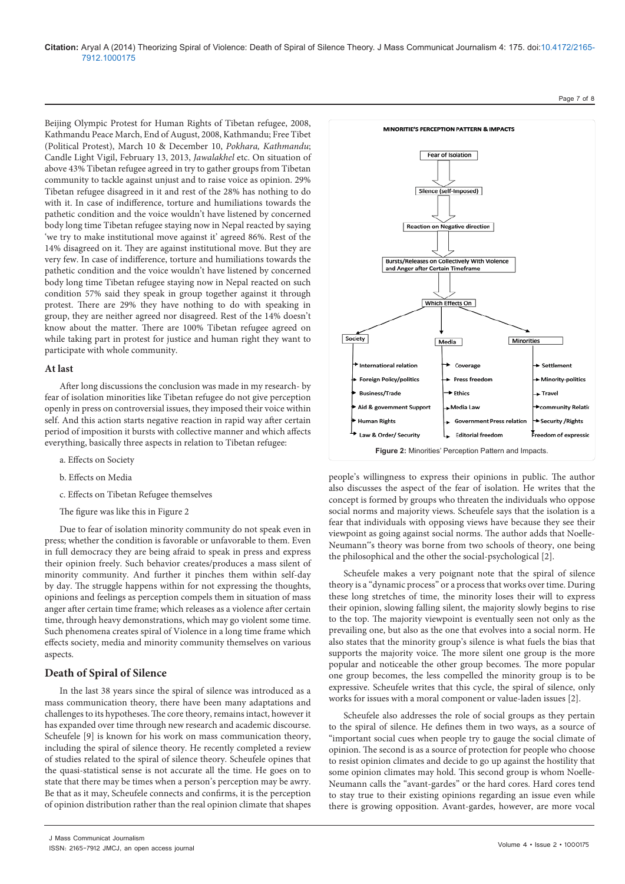Beijing Olympic Protest for Human Rights of Tibetan refugee, 2008, Kathmandu Peace March, End of August, 2008, Kathmandu; Free Tibet (Political Protest), March 10 & December 10, *Pokhara, Kathmandu*; Candle Light Vigil, February 13, 2013, *Jawalakhel* etc. On situation of above 43% Tibetan refugee agreed in try to gather groups from Tibetan community to tackle against unjust and to raise voice as opinion. 29% Tibetan refugee disagreed in it and rest of the 28% has nothing to do with it. In case of indifference, torture and humiliations towards the pathetic condition and the voice wouldn't have listened by concerned body long time Tibetan refugee staying now in Nepal reacted by saying 'we try to make institutional move against it' agreed 86%. Rest of the 14% disagreed on it. They are against institutional move. But they are very few. In case of indifference, torture and humiliations towards the pathetic condition and the voice wouldn't have listened by concerned body long time Tibetan refugee staying now in Nepal reacted on such condition 57% said they speak in group together against it through protest. There are 29% they have nothing to do with speaking in group, they are neither agreed nor disagreed. Rest of the 14% doesn't know about the matter. There are 100% Tibetan refugee agreed on while taking part in protest for justice and human right they want to participate with whole community.

## **At last**

After long discussions the conclusion was made in my research- by fear of isolation minorities like Tibetan refugee do not give perception openly in press on controversial issues, they imposed their voice within self. And this action starts negative reaction in rapid way after certain period of imposition it bursts with collective manner and which affects everything, basically three aspects in relation to Tibetan refugee:

- a. Effects on Society
- b. Effects on Media
- c. Effects on Tibetan Refugee themselves
- The figure was like this in Figure 2

Due to fear of isolation minority community do not speak even in press; whether the condition is favorable or unfavorable to them. Even in full democracy they are being afraid to speak in press and express their opinion freely. Such behavior creates/produces a mass silent of minority community. And further it pinches them within self-day by day. The struggle happens within for not expressing the thoughts, opinions and feelings as perception compels them in situation of mass anger after certain time frame; which releases as a violence after certain time, through heavy demonstrations, which may go violent some time. Such phenomena creates spiral of Violence in a long time frame which effects society, media and minority community themselves on various aspects.

## **Death of Spiral of Silence**

In the last 38 years since the spiral of silence was introduced as a mass communication theory, there have been many adaptations and challenges to its hypotheses. The core theory, remains intact, however it has expanded over time through new research and academic discourse. Scheufele [9] is known for his work on mass communication theory, including the spiral of silence theory. He recently completed a review of studies related to the spiral of silence theory. Scheufele opines that the quasi-statistical sense is not accurate all the time. He goes on to state that there may be times when a person's perception may be awry. Be that as it may, Scheufele connects and confirms, it is the perception of opinion distribution rather than the real opinion climate that shapes



people's willingness to express their opinions in public. The author also discusses the aspect of the fear of isolation. He writes that the concept is formed by groups who threaten the individuals who oppose social norms and majority views. Scheufele says that the isolation is a fear that individuals with opposing views have because they see their viewpoint as going against social norms. The author adds that Noelle-Neumann"s theory was borne from two schools of theory, one being the philosophical and the other the social-psychological [2].

Scheufele makes a very poignant note that the spiral of silence theory is a "dynamic process" or a process that works over time. During these long stretches of time, the minority loses their will to express their opinion, slowing falling silent, the majority slowly begins to rise to the top. The majority viewpoint is eventually seen not only as the prevailing one, but also as the one that evolves into a social norm. He also states that the minority group's silence is what fuels the bias that supports the majority voice. The more silent one group is the more popular and noticeable the other group becomes. The more popular one group becomes, the less compelled the minority group is to be expressive. Scheufele writes that this cycle, the spiral of silence, only works for issues with a moral component or value-laden issues [2].

Scheufele also addresses the role of social groups as they pertain to the spiral of silence. He defines them in two ways, as a source of "important social cues when people try to gauge the social climate of opinion. The second is as a source of protection for people who choose to resist opinion climates and decide to go up against the hostility that some opinion climates may hold. This second group is whom Noelle-Neumann calls the "avant-gardes" or the hard cores. Hard cores tend to stay true to their existing opinions regarding an issue even while there is growing opposition. Avant-gardes, however, are more vocal